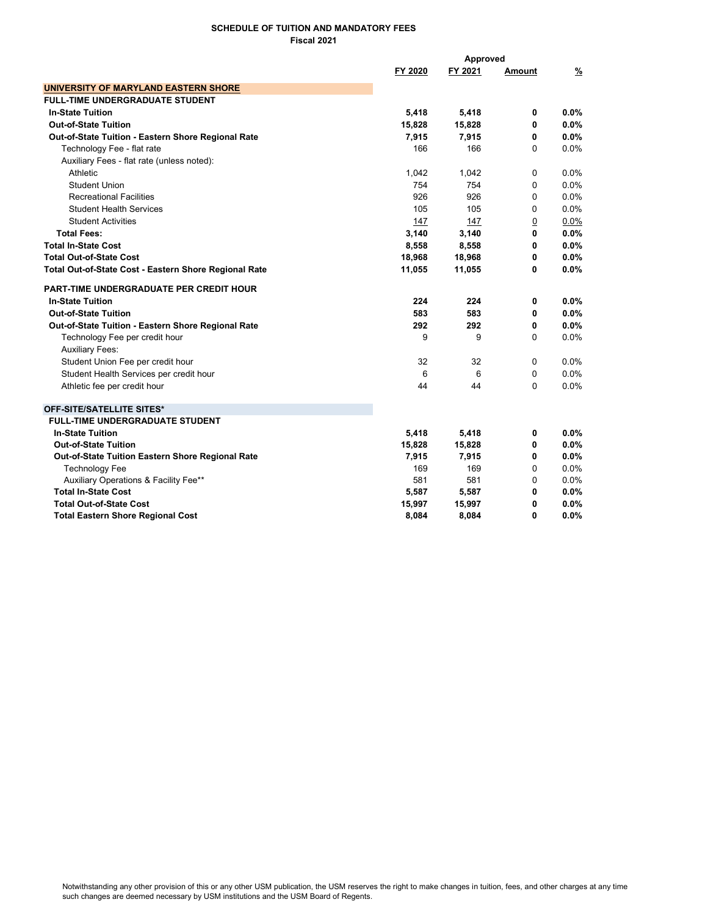## SCHEDULE OF TUITION AND MANDATORY FEES Fiscal 2021

|                                                       |         | Approved |                |               |
|-------------------------------------------------------|---------|----------|----------------|---------------|
|                                                       | FY 2020 | FY 2021  | Amount         | $\frac{9}{2}$ |
| UNIVERSITY OF MARYLAND EASTERN SHORE                  |         |          |                |               |
| <b>FULL-TIME UNDERGRADUATE STUDENT</b>                |         |          |                |               |
| <b>In-State Tuition</b>                               | 5,418   | 5,418    | 0              | 0.0%          |
| <b>Out-of-State Tuition</b>                           | 15,828  | 15,828   | 0              | 0.0%          |
| Out-of-State Tuition - Eastern Shore Regional Rate    | 7,915   | 7,915    | 0              | 0.0%          |
| Technology Fee - flat rate                            | 166     | 166      | 0              | 0.0%          |
| Auxiliary Fees - flat rate (unless noted):            |         |          |                |               |
| Athletic                                              | 1,042   | 1,042    | 0              | 0.0%          |
| <b>Student Union</b>                                  | 754     | 754      | 0              | $0.0\%$       |
| <b>Recreational Facilities</b>                        | 926     | 926      | 0              | 0.0%          |
| <b>Student Health Services</b>                        | 105     | 105      | 0              | 0.0%          |
| <b>Student Activities</b>                             | 147     | 147      | $\overline{0}$ | 0.0%          |
| <b>Total Fees:</b>                                    | 3,140   | 3,140    | 0              | 0.0%          |
| <b>Total In-State Cost</b>                            | 8,558   | 8,558    | 0              | $0.0\%$       |
| <b>Total Out-of-State Cost</b>                        | 18,968  | 18,968   | 0              | 0.0%          |
| Total Out-of-State Cost - Eastern Shore Regional Rate | 11,055  | 11,055   | 0              | 0.0%          |
| <b>PART-TIME UNDERGRADUATE PER CREDIT HOUR</b>        |         |          |                |               |
| <b>In-State Tuition</b>                               | 224     | 224      | 0              | 0.0%          |
| <b>Out-of-State Tuition</b>                           | 583     | 583      | 0              | 0.0%          |
| Out-of-State Tuition - Eastern Shore Regional Rate    | 292     | 292      | 0              | 0.0%          |
| Technology Fee per credit hour                        | 9       | 9        | 0              | 0.0%          |
| <b>Auxiliary Fees:</b>                                |         |          |                |               |
| Student Union Fee per credit hour                     | 32      | 32       | 0              | $0.0\%$       |
| Student Health Services per credit hour               | 6       | 6        | 0              | 0.0%          |
| Athletic fee per credit hour                          | 44      | 44       | 0              | 0.0%          |
| OFF-SITE/SATELLITE SITES*                             |         |          |                |               |
| <b>FULL-TIME UNDERGRADUATE STUDENT</b>                |         |          |                |               |
| <b>In-State Tuition</b>                               | 5,418   | 5,418    | 0              | $0.0\%$       |
| <b>Out-of-State Tuition</b>                           | 15,828  | 15,828   | 0              | 0.0%          |
| Out-of-State Tuition Eastern Shore Regional Rate      | 7,915   | 7,915    | 0              | 0.0%          |
| <b>Technology Fee</b>                                 | 169     | 169      | 0              | 0.0%          |
| Auxiliary Operations & Facility Fee**                 | 581     | 581      | 0              | 0.0%          |
| <b>Total In-State Cost</b>                            | 5,587   | 5,587    | 0              | 0.0%          |
| <b>Total Out-of-State Cost</b>                        | 15,997  | 15,997   | 0              | 0.0%          |
| <b>Total Eastern Shore Regional Cost</b>              | 8,084   | 8,084    | 0              | 0.0%          |